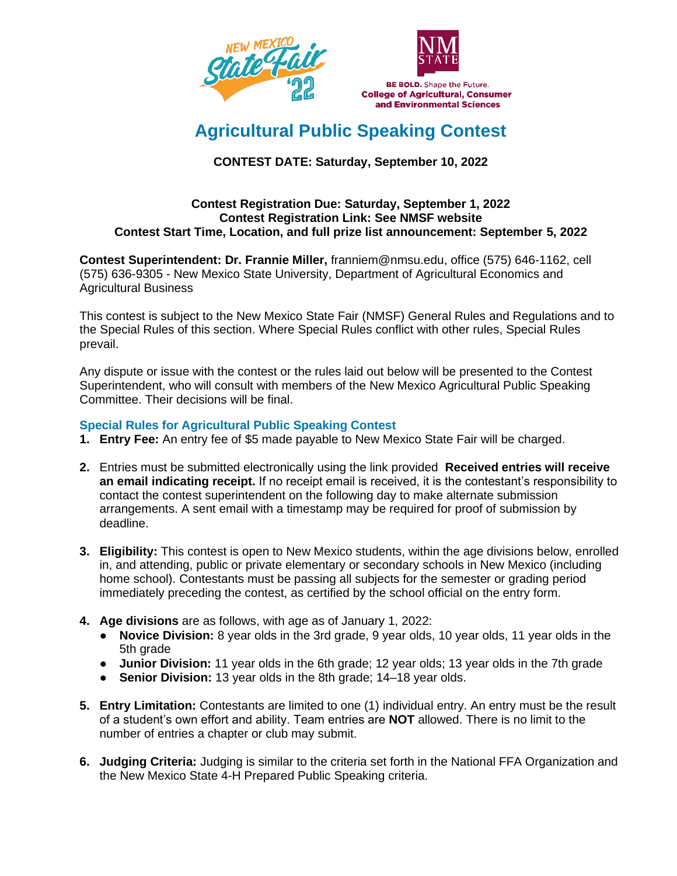



# **Agricultural Public Speaking Contest**

# **CONTEST DATE: Saturday, September 10, 2022**

#### **Contest Registration Due: Saturday, September 1, 2022 Contest Registration Link: See NMSF website Contest Start Time, Location, and full prize list announcement: September 5, 2022**

**Contest Superintendent: Dr. Frannie Miller,** franniem@nmsu.edu, office (575) 646-1162, cell (575) 636-9305 - New Mexico State University, Department of Agricultural Economics and Agricultural Business

This contest is subject to the New Mexico State Fair (NMSF) General Rules and Regulations and to the Special Rules of this section. Where Special Rules conflict with other rules, Special Rules prevail.

Any dispute or issue with the contest or the rules laid out below will be presented to the Contest Superintendent, who will consult with members of the New Mexico Agricultural Public Speaking Committee. Their decisions will be final.

## **Special Rules for Agricultural Public Speaking Contest**

- **1. Entry Fee:** An entry fee of \$5 made payable to New Mexico State Fair will be charged.
- **2.** Entries must be submitted electronically using the link provided **Received entries will receive an email indicating receipt.** If no receipt email is received, it is the contestant's responsibility to contact the contest superintendent on the following day to make alternate submission arrangements. A sent email with a timestamp may be required for proof of submission by deadline.
- **3. Eligibility:** This contest is open to New Mexico students, within the age divisions below, enrolled in, and attending, public or private elementary or secondary schools in New Mexico (including home school). Contestants must be passing all subjects for the semester or grading period immediately preceding the contest, as certified by the school official on the entry form.
- **4. Age divisions** are as follows, with age as of January 1, 2022:
	- **Novice Division:** 8 year olds in the 3rd grade, 9 year olds, 10 year olds, 11 year olds in the 5th grade
	- **Junior Division:** 11 year olds in the 6th grade; 12 year olds; 13 year olds in the 7th grade
	- **Senior Division:** 13 year olds in the 8th grade; 14–18 year olds.
- **5. Entry Limitation:** Contestants are limited to one (1) individual entry. An entry must be the result of a student's own effort and ability. Team entries are **NOT** allowed. There is no limit to the number of entries a chapter or club may submit.
- **6. Judging Criteria:** Judging is similar to the criteria set forth in the National FFA Organization and the New Mexico State 4-H Prepared Public Speaking criteria.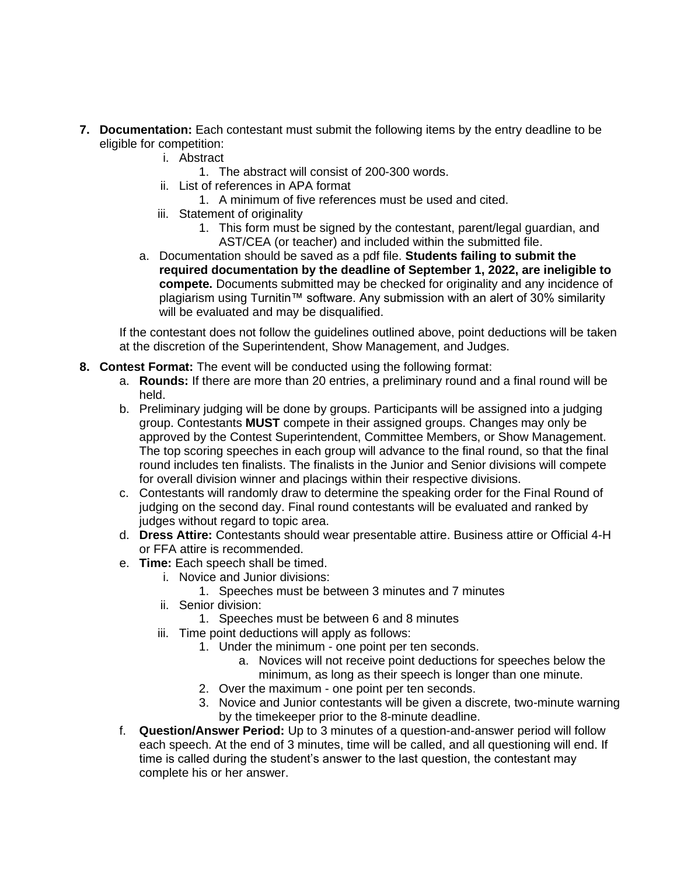- **7. Documentation:** Each contestant must submit the following items by the entry deadline to be eligible for competition:
	- i. Abstract
		- 1. The abstract will consist of 200-300 words.
	- ii. List of references in APA format
		- 1. A minimum of five references must be used and cited.
	- iii. Statement of originality
		- 1. This form must be signed by the contestant, parent/legal guardian, and AST/CEA (or teacher) and included within the submitted file.
	- a. Documentation should be saved as a pdf file. **Students failing to submit the required documentation by the deadline of September 1, 2022, are ineligible to compete.** Documents submitted may be checked for originality and any incidence of plagiarism using Turnitin™ software. Any submission with an alert of 30% similarity will be evaluated and may be disqualified.

If the contestant does not follow the guidelines outlined above, point deductions will be taken at the discretion of the Superintendent, Show Management, and Judges.

## **8. Contest Format:** The event will be conducted using the following format:

- a. **Rounds:** If there are more than 20 entries, a preliminary round and a final round will be held.
- b. Preliminary judging will be done by groups. Participants will be assigned into a judging group. Contestants **MUST** compete in their assigned groups. Changes may only be approved by the Contest Superintendent, Committee Members, or Show Management. The top scoring speeches in each group will advance to the final round, so that the final round includes ten finalists. The finalists in the Junior and Senior divisions will compete for overall division winner and placings within their respective divisions.
- c. Contestants will randomly draw to determine the speaking order for the Final Round of judging on the second day. Final round contestants will be evaluated and ranked by judges without regard to topic area.
- d. **Dress Attire:** Contestants should wear presentable attire. Business attire or Official 4-H or FFA attire is recommended.
- e. **Time:** Each speech shall be timed.
	- i. Novice and Junior divisions:
		- 1. Speeches must be between 3 minutes and 7 minutes
	- ii. Senior division:
		- 1. Speeches must be between 6 and 8 minutes
	- iii. Time point deductions will apply as follows:
		- 1. Under the minimum one point per ten seconds.
			- a. Novices will not receive point deductions for speeches below the minimum, as long as their speech is longer than one minute.
		- 2. Over the maximum one point per ten seconds.
		- 3. Novice and Junior contestants will be given a discrete, two-minute warning by the timekeeper prior to the 8-minute deadline.
- f. **Question/Answer Period:** Up to 3 minutes of a question-and-answer period will follow each speech. At the end of 3 minutes, time will be called, and all questioning will end. If time is called during the student's answer to the last question, the contestant may complete his or her answer.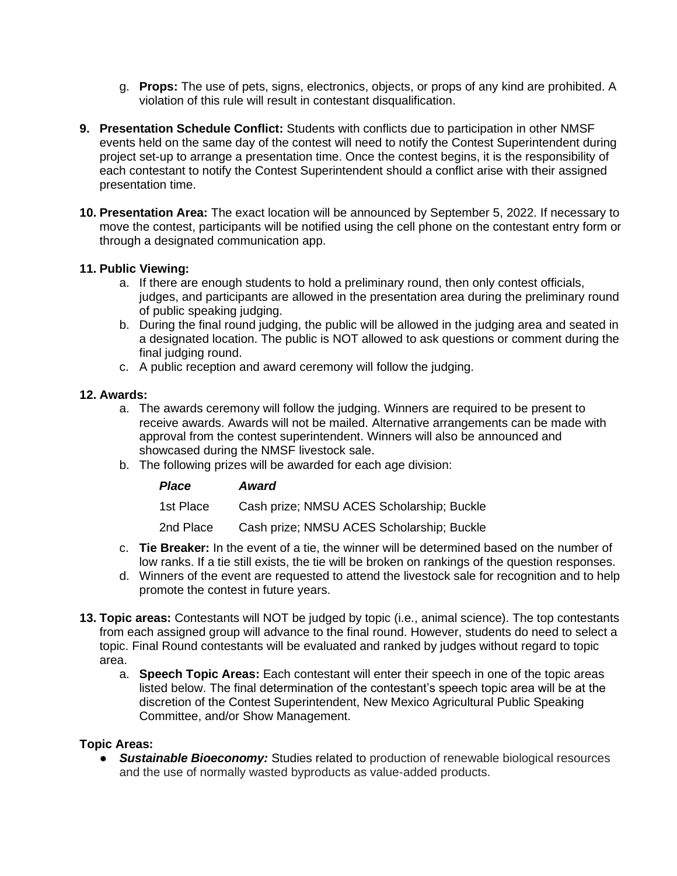- g. **Props:** The use of pets, signs, electronics, objects, or props of any kind are prohibited. A violation of this rule will result in contestant disqualification.
- **9. Presentation Schedule Conflict:** Students with conflicts due to participation in other NMSF events held on the same day of the contest will need to notify the Contest Superintendent during project set-up to arrange a presentation time. Once the contest begins, it is the responsibility of each contestant to notify the Contest Superintendent should a conflict arise with their assigned presentation time.
- **10. Presentation Area:** The exact location will be announced by September 5, 2022. If necessary to move the contest, participants will be notified using the cell phone on the contestant entry form or through a designated communication app.

## **11. Public Viewing:**

- a. If there are enough students to hold a preliminary round, then only contest officials, judges, and participants are allowed in the presentation area during the preliminary round of public speaking judging.
- b. During the final round judging, the public will be allowed in the judging area and seated in a designated location. The public is NOT allowed to ask questions or comment during the final judging round.
- c. A public reception and award ceremony will follow the judging.

#### **12. Awards:**

- a. The awards ceremony will follow the judging. Winners are required to be present to receive awards. Awards will not be mailed. Alternative arrangements can be made with approval from the contest superintendent. Winners will also be announced and showcased during the NMSF livestock sale.
- b. The following prizes will be awarded for each age division:

| <b>Place</b> | Award                                     |
|--------------|-------------------------------------------|
| 1st Place    | Cash prize; NMSU ACES Scholarship; Buckle |
| 2nd Place    | Cash prize; NMSU ACES Scholarship; Buckle |

- c. **Tie Breaker:** In the event of a tie, the winner will be determined based on the number of low ranks. If a tie still exists, the tie will be broken on rankings of the question responses.
- d. Winners of the event are requested to attend the livestock sale for recognition and to help promote the contest in future years.
- **13. Topic areas:** Contestants will NOT be judged by topic (i.e., animal science). The top contestants from each assigned group will advance to the final round. However, students do need to select a topic. Final Round contestants will be evaluated and ranked by judges without regard to topic area.
	- a. **Speech Topic Areas:** Each contestant will enter their speech in one of the topic areas listed below. The final determination of the contestant's speech topic area will be at the discretion of the Contest Superintendent, New Mexico Agricultural Public Speaking Committee, and/or Show Management.

## **Topic Areas:**

● *Sustainable Bioeconomy:* Studies related to production of renewable biological resources and the use of normally wasted byproducts as value-added products.